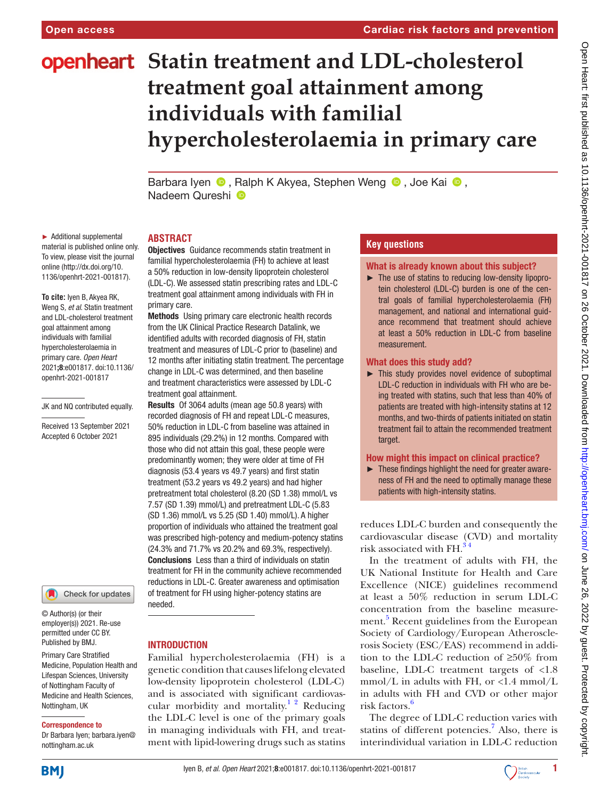# **openheart** Statin treatment and LDL-cholesterol **treatment goal attainment among individuals with familial hypercholesterolaemia in primary care**

BarbaraIyen  $\bullet$ , Ralph K Akyea, Stephen Weng  $\bullet$ , Joe Kai  $\bullet$ , Nadeem Qureshi<sup>O</sup>

► Additional supplemental material is published online only. To view, please visit the journal online [\(http://dx.doi.org/10.](http://dx.doi.org/10.1136/openhrt-2021-001817) [1136/openhrt-2021-001817\)](http://dx.doi.org/10.1136/openhrt-2021-001817).

**To cite:** Iyen B, Akyea RK, Weng S*, et al*. Statin treatment and LDL-cholesterol treatment goal attainment among individuals with familial hypercholesterolaemia in primary care*. Open Heart* 2021;8:e001817. doi:10.1136/ openhrt-2021-001817

#### JK and NQ contributed equally.

Received 13 September 2021 Accepted 6 October 2021

Check for updates

© Author(s) (or their employer(s)) 2021. Re-use permitted under CC BY. Published by BMJ.

Primary Care Stratified Medicine, Population Health and Lifespan Sciences, University of Nottingham Faculty of Medicine and Health Sciences, Nottingham, UK

#### Correspondence to

Dr Barbara Iyen; barbara.iyen@ nottingham.ac.uk

#### **ABSTRACT**

Objectives Guidance recommends statin treatment in familial hypercholesterolaemia (FH) to achieve at least a 50% reduction in low-density lipoprotein cholesterol (LDL-C). We assessed statin prescribing rates and LDL-C treatment goal attainment among individuals with FH in primary care.

Methods Using primary care electronic health records from the UK Clinical Practice Research Datalink, we identified adults with recorded diagnosis of FH, statin treatment and measures of LDL-C prior to (baseline) and 12 months after initiating statin treatment. The percentage change in LDL-C was determined, and then baseline and treatment characteristics were assessed by LDL-C treatment goal attainment.

Results Of 3064 adults (mean age 50.8 years) with recorded diagnosis of FH and repeat LDL-C measures, 50% reduction in LDL-C from baseline was attained in 895 individuals (29.2%) in 12 months. Compared with those who did not attain this goal, these people were predominantly women; they were older at time of FH diagnosis (53.4 years vs 49.7 years) and first statin treatment (53.2 years vs 49.2 years) and had higher pretreatment total cholesterol (8.20 (SD 1.38) mmol/L vs 7.57 (SD 1.39) mmol/L) and pretreatment LDL-C (5.83 (SD 1.36) mmol/L vs 5.25 (SD 1.40) mmol/L). A higher proportion of individuals who attained the treatment goal was prescribed high-potency and medium-potency statins (24.3% and 71.7% vs 20.2% and 69.3%, respectively). Conclusions Less than a third of individuals on statin treatment for FH in the community achieve recommended reductions in LDL-C. Greater awareness and optimisation of treatment for FH using higher-potency statins are needed.

## INTRODUCTION

Familial hypercholesterolaemia (FH) is a genetic condition that causes lifelong elevated low-density lipoprotein cholesterol (LDL-C) and is associated with significant cardiovascular morbidity and mortality.<sup>1</sup> <sup>2</sup> Reducing the LDL-C level is one of the primary goals in managing individuals with FH, and treatment with lipid-lowering drugs such as statins

# **Key questions**

# What is already known about this subject?

► The use of statins to reducing low-density lipoprotein cholesterol (LDL-C) burden is one of the central goals of familial hypercholesterolaemia (FH) management, and national and international guidance recommend that treatment should achieve at least a 50% reduction in LDL-C from baseline measurement.

#### What does this study add?

► This study provides novel evidence of suboptimal LDL-C reduction in individuals with FH who are being treated with statins, such that less than 40% of patients are treated with high-intensity statins at 12 months, and two-thirds of patients initiated on statin treatment fail to attain the recommended treatment target.

#### How might this impact on clinical practice?

► These findings highlight the need for greater awareness of FH and the need to optimally manage these patients with high-intensity statins.

reduces LDL-C burden and consequently the cardiovascular disease (CVD) and mortality risk associated with FH.<sup>34</sup>

In the treatment of adults with FH, the UK National Institute for Health and Care Excellence (NICE) guidelines recommend at least a 50% reduction in serum LDL-C concentration from the baseline measurement.<sup>5</sup> Recent guidelines from the European Society of Cardiology/European Atherosclerosis Society (ESC/EAS) recommend in addition to the LDL-C reduction of ≥50% from baseline, LDL-C treatment targets of <1.8  $mmol/L$  in adults with FH, or <1.4 mmol/L in adults with FH and CVD or other major risk factors.<sup>[6](#page-7-3)</sup>

The degree of LDL-C reduction varies with statins of different potencies.<sup>[7](#page-7-4)</sup> Also, there is interindividual variation in LDL-C reduction

**BMJ** 

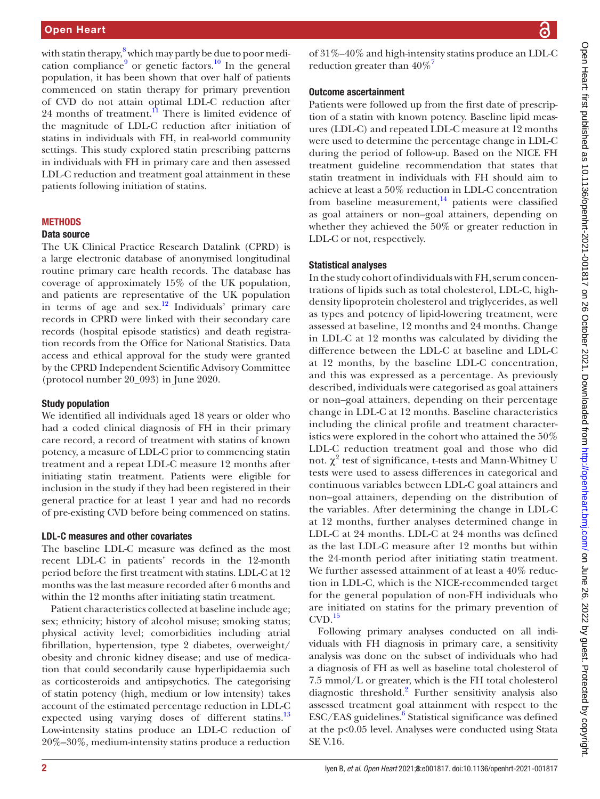with statin therapy, $^8$  $^8$  which may partly be due to poor medi-cation compliance<sup>9</sup> or genetic factors.<sup>[10](#page-7-7)</sup> In the general population, it has been shown that over half of patients commenced on statin therapy for primary prevention of CVD do not attain optimal LDL-C reduction after 24 months of treatment. $\hat{1}$  There is limited evidence of the magnitude of LDL-C reduction after initiation of statins in individuals with FH, in real-world community settings. This study explored statin prescribing patterns in individuals with FH in primary care and then assessed LDL-C reduction and treatment goal attainment in these patients following initiation of statins.

# **METHODS**

#### Data source

The UK Clinical Practice Research Datalink (CPRD) is a large electronic database of anonymised longitudinal routine primary care health records. The database has coverage of approximately 15% of the UK population, and patients are representative of the UK population in terms of age and sex.<sup>[12](#page-7-9)</sup> Individuals' primary care records in CPRD were linked with their secondary care records (hospital episode statistics) and death registration records from the Office for National Statistics. Data access and ethical approval for the study were granted by the CPRD Independent Scientific Advisory Committee (protocol number 20\_093) in June 2020.

#### Study population

We identified all individuals aged 18 years or older who had a coded clinical diagnosis of FH in their primary care record, a record of treatment with statins of known potency, a measure of LDL-C prior to commencing statin treatment and a repeat LDL-C measure 12 months after initiating statin treatment. Patients were eligible for inclusion in the study if they had been registered in their general practice for at least 1 year and had no records of pre-existing CVD before being commenced on statins.

#### LDL-C measures and other covariates

The baseline LDL-C measure was defined as the most recent LDL-C in patients' records in the 12-month period before the first treatment with statins. LDL-C at 12 months was the last measure recorded after 6 months and within the 12 months after initiating statin treatment.

Patient characteristics collected at baseline include age; sex; ethnicity; history of alcohol misuse; smoking status; physical activity level; comorbidities including atrial fibrillation, hypertension, type 2 diabetes, overweight/ obesity and chronic kidney disease; and use of medication that could secondarily cause hyperlipidaemia such as corticosteroids and antipsychotics. The categorising of statin potency (high, medium or low intensity) takes account of the estimated percentage reduction in LDL-C expected using varying doses of different statins.<sup>[13](#page-7-10)</sup> Low-intensity statins produce an LDL-C reduction of 20%–30%, medium-intensity statins produce a reduction

of 31%–40% and high-intensity statins produce an LDL-C reduction greater than  $40\%$ <sup>7</sup>

#### Outcome ascertainment

Patients were followed up from the first date of prescription of a statin with known potency. Baseline lipid measures (LDL-C) and repeated LDL-C measure at 12 months were used to determine the percentage change in LDL-C during the period of follow-up. Based on the NICE FH treatment guideline recommendation that states that statin treatment in individuals with FH should aim to achieve at least a 50% reduction in LDL-C concentration from baseline measurement, $14$  patients were classified as goal attainers or non–goal attainers, depending on whether they achieved the 50% or greater reduction in LDL-C or not, respectively.

## Statistical analyses

In the study cohort of individuals with FH, serum concentrations of lipids such as total cholesterol, LDL-C, highdensity lipoprotein cholesterol and triglycerides, as well as types and potency of lipid-lowering treatment, were assessed at baseline, 12 months and 24 months. Change in LDL-C at 12 months was calculated by dividing the difference between the LDL-C at baseline and LDL-C at 12 months, by the baseline LDL-C concentration, and this was expressed as a percentage. As previously described, individuals were categorised as goal attainers or non–goal attainers, depending on their percentage change in LDL-C at 12 months. Baseline characteristics including the clinical profile and treatment characteristics were explored in the cohort who attained the 50% LDL-C reduction treatment goal and those who did not.  $\chi^2$  test of significance, t-tests and Mann-Whitney U tests were used to assess differences in categorical and continuous variables between LDL-C goal attainers and non–goal attainers, depending on the distribution of the variables. After determining the change in LDL-C at 12 months, further analyses determined change in LDL-C at 24 months. LDL-C at 24 months was defined as the last LDL-C measure after 12 months but within the 24-month period after initiating statin treatment. We further assessed attainment of at least a 40% reduction in LDL-C, which is the NICE-recommended target for the general population of non-FH individuals who are initiated on statins for the primary prevention of  $CVD.<sup>15</sup>$  $CVD.<sup>15</sup>$  $CVD.<sup>15</sup>$ 

Following primary analyses conducted on all individuals with FH diagnosis in primary care, a sensitivity analysis was done on the subset of individuals who had a diagnosis of FH as well as baseline total cholesterol of 7.5 mmol/L or greater, which is the FH total cholesterol diagnostic threshold.[2](#page-7-13) Further sensitivity analysis also assessed treatment goal attainment with respect to the ESC/EAS guidelines.<sup>[6](#page-7-3)</sup> Statistical significance was defined at the p<0.05 level. Analyses were conducted using Stata SE V.16.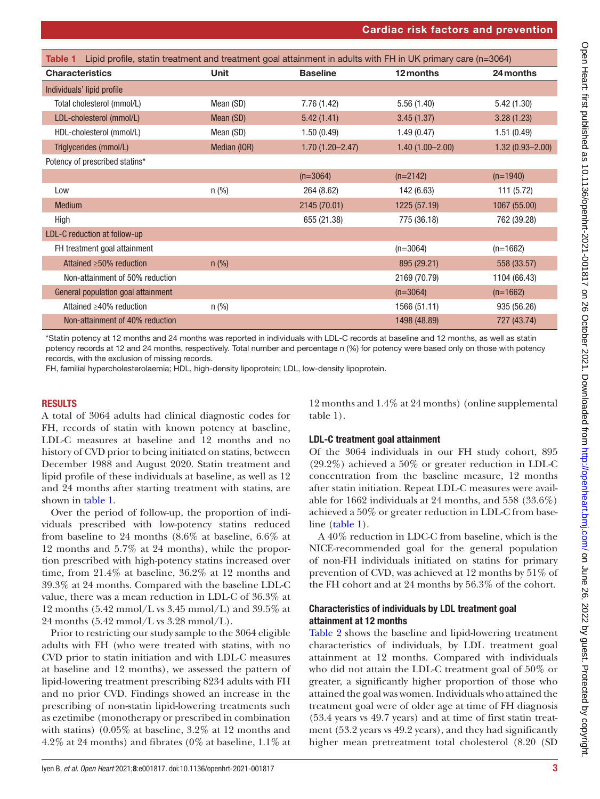<span id="page-2-0"></span>

| Lipid profile, statin treatment and treatment goal attainment in adults with FH in UK primary care (n=3064)<br>Table 1 |              |                     |                     |                     |  |
|------------------------------------------------------------------------------------------------------------------------|--------------|---------------------|---------------------|---------------------|--|
| <b>Characteristics</b>                                                                                                 | <b>Unit</b>  | <b>Baseline</b>     | 12 months           | 24 months           |  |
| Individuals' lipid profile                                                                                             |              |                     |                     |                     |  |
| Total cholesterol (mmol/L)                                                                                             | Mean (SD)    | 7.76 (1.42)         | 5.56(1.40)          | 5.42(1.30)          |  |
| LDL-cholesterol (mmol/L)                                                                                               | Mean (SD)    | 5.42(1.41)          | 3.45(1.37)          | 3.28(1.23)          |  |
| HDL-cholesterol (mmol/L)                                                                                               | Mean (SD)    | 1.50(0.49)          | 1.49(0.47)          | 1.51(0.49)          |  |
| Triglycerides (mmol/L)                                                                                                 | Median (IQR) | $1.70(1.20 - 2.47)$ | $1.40(1.00 - 2.00)$ | $1.32(0.93 - 2.00)$ |  |
| Potency of prescribed statins*                                                                                         |              |                     |                     |                     |  |
|                                                                                                                        |              | $(n=3064)$          | $(n=2142)$          | $(n=1940)$          |  |
| Low                                                                                                                    | n(%)         | 264 (8.62)          | 142 (6.63)          | 111(5.72)           |  |
| <b>Medium</b>                                                                                                          |              | 2145 (70.01)        | 1225 (57.19)        | 1067 (55.00)        |  |
| High                                                                                                                   |              | 655 (21.38)         | 775 (36.18)         | 762 (39.28)         |  |
| LDL-C reduction at follow-up                                                                                           |              |                     |                     |                     |  |
| FH treatment goal attainment                                                                                           |              |                     | $(n=3064)$          | $(n=1662)$          |  |
| Attained $\geq 50\%$ reduction                                                                                         | $n$ (%)      |                     | 895 (29.21)         | 558 (33.57)         |  |
| Non-attainment of 50% reduction                                                                                        |              |                     | 2169 (70.79)        | 1104 (66.43)        |  |
| General population goal attainment                                                                                     |              |                     | $(n=3064)$          | $(n=1662)$          |  |
| Attained $\geq$ 40% reduction                                                                                          | $n$ (%)      |                     | 1566 (51.11)        | 935 (56.26)         |  |
| Non-attainment of 40% reduction                                                                                        |              |                     | 1498 (48.89)        | 727 (43.74)         |  |

\*Statin potency at 12 months and 24 months was reported in individuals with LDL-C records at baseline and 12 months, as well as statin potency records at 12 and 24 months, respectively. Total number and percentage n (%) for potency were based only on those with potency records, with the exclusion of missing records.

FH, familial hypercholesterolaemia; HDL, high-density lipoprotein; LDL, low-density lipoprotein.

# RESULTS

A total of 3064 adults had clinical diagnostic codes for FH, records of statin with known potency at baseline, LDL-C measures at baseline and 12 months and no history of CVD prior to being initiated on statins, between December 1988 and August 2020. Statin treatment and lipid profile of these individuals at baseline, as well as 12 and 24 months after starting treatment with statins, are shown in [table](#page-2-0) 1.

Over the period of follow-up, the proportion of individuals prescribed with low-potency statins reduced from baseline to 24 months (8.6% at baseline, 6.6% at 12 months and 5.7% at 24 months), while the proportion prescribed with high-potency statins increased over time, from 21.4% at baseline, 36.2% at 12 months and 39.3% at 24 months. Compared with the baseline LDL-C value, there was a mean reduction in LDL-C of 36.3% at 12 months  $(5.42 \text{ mmol/L vs } 3.45 \text{ mmol/L})$  and  $39.5\%$  at 24 months (5.42 mmol/L vs 3.28 mmol/L).

Prior to restricting our study sample to the 3064 eligible adults with FH (who were treated with statins, with no CVD prior to statin initiation and with LDL-C measures at baseline and 12 months), we assessed the pattern of lipid-lowering treatment prescribing 8234 adults with FH and no prior CVD. Findings showed an increase in the prescribing of non-statin lipid-lowering treatments such as ezetimibe (monotherapy or prescribed in combination with statins) (0.05% at baseline, 3.2% at 12 months and 4.2% at 24 months) and fibrates (0% at baseline, 1.1% at

12 months and 1.4% at 24 months) [\(online supplemental](https://dx.doi.org/10.1136/openhrt-2021-001817)  [table 1](https://dx.doi.org/10.1136/openhrt-2021-001817)).

# LDL-C treatment goal attainment

Of the 3064 individuals in our FH study cohort, 895 (29.2%) achieved a 50% or greater reduction in LDL-C concentration from the baseline measure, 12 months after statin initiation. Repeat LDL-C measures were available for 1662 individuals at 24 months, and 558 (33.6%) achieved a 50% or greater reduction in LDL-C from base-line [\(table](#page-2-0) 1).

A 40% reduction in LDC-C from baseline, which is the NICE-recommended goal for the general population of non-FH individuals initiated on statins for primary prevention of CVD, was achieved at 12 months by 51% of the FH cohort and at 24 months by 56.3% of the cohort.

# Characteristics of individuals by LDL treatment goal attainment at 12 months

[Table](#page-3-0) 2 shows the baseline and lipid-lowering treatment characteristics of individuals, by LDL treatment goal attainment at 12 months. Compared with individuals who did not attain the LDL-C treatment goal of 50% or greater, a significantly higher proportion of those who attained the goal was women. Individuals who attained the treatment goal were of older age at time of FH diagnosis (53.4 years vs 49.7 years) and at time of first statin treatment (53.2 years vs 49.2 years), and they had significantly higher mean pretreatment total cholesterol (8.20 (SD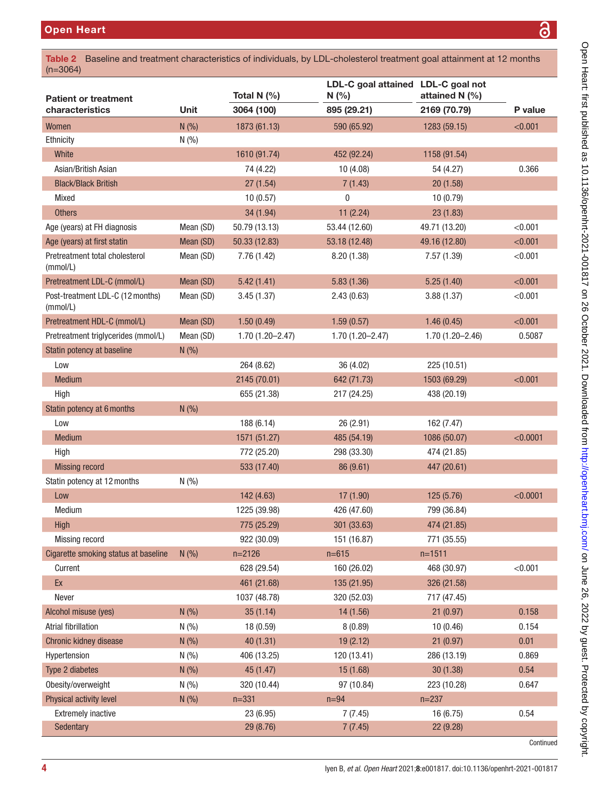<span id="page-3-0"></span>

| 3<br><b>Open Heart</b><br>Baseline and treatment characteristics of individuals, by LDL-cholesterol treatment goal attainment at 12 months<br>Table 2 |             |                     |                                           |                     |          |
|-------------------------------------------------------------------------------------------------------------------------------------------------------|-------------|---------------------|-------------------------------------------|---------------------|----------|
| $(n=3064)$                                                                                                                                            |             |                     |                                           |                     |          |
| <b>Patient or treatment</b>                                                                                                                           |             | Total N (%)         | LDL-C goal attained LDL-C goal not<br>N(% | attained N (%)      |          |
| characteristics                                                                                                                                       | <b>Unit</b> | 3064 (100)          | 895 (29.21)                               | 2169 (70.79)        | P value  |
| Women                                                                                                                                                 | N(%)        | 1873 (61.13)        | 590 (65.92)                               | 1283 (59.15)        | < 0.001  |
| Ethnicity                                                                                                                                             | N(%)        |                     |                                           |                     |          |
| White                                                                                                                                                 |             | 1610 (91.74)        | 452 (92.24)                               | 1158 (91.54)        |          |
| Asian/British Asian                                                                                                                                   |             | 74 (4.22)           | 10(4.08)                                  | 54 (4.27)           | 0.366    |
| <b>Black/Black British</b>                                                                                                                            |             | 27(1.54)            | 7(1.43)                                   | 20(1.58)            |          |
| Mixed                                                                                                                                                 |             | 10(0.57)            | 0                                         | 10(0.79)            |          |
| <b>Others</b>                                                                                                                                         |             | 34 (1.94)           | 11(2.24)                                  | 23(1.83)            |          |
| Age (years) at FH diagnosis                                                                                                                           | Mean (SD)   | 50.79 (13.13)       | 53.44 (12.60)                             | 49.71 (13.20)       | < 0.001  |
| Age (years) at first statin                                                                                                                           | Mean (SD)   | 50.33 (12.83)       | 53.18 (12.48)                             | 49.16 (12.80)       | < 0.001  |
| Pretreatment total cholesterol<br>(mmol/L)                                                                                                            | Mean (SD)   | 7.76(1.42)          | 8.20(1.38)                                | 7.57(1.39)          | < 0.001  |
| Pretreatment LDL-C (mmol/L)                                                                                                                           | Mean (SD)   | 5.42(1.41)          | 5.83(1.36)                                | 5.25(1.40)          | < 0.001  |
| Post-treatment LDL-C (12 months)<br>(mmol/L)                                                                                                          | Mean (SD)   | 3.45(1.37)          | 2.43(0.63)                                | 3.88(1.37)          | < 0.001  |
| Pretreatment HDL-C (mmol/L)                                                                                                                           | Mean (SD)   | 1.50(0.49)          | 1.59(0.57)                                | 1.46(0.45)          | < 0.001  |
| Pretreatment triglycerides (mmol/L)                                                                                                                   | Mean (SD)   | $1.70(1.20 - 2.47)$ | $1.70(1.20 - 2.47)$                       | $1.70(1.20 - 2.46)$ | 0.5087   |
| Statin potency at baseline                                                                                                                            | N(%)        |                     |                                           |                     |          |
| Low                                                                                                                                                   |             | 264 (8.62)          | 36 (4.02)                                 | 225 (10.51)         |          |
| <b>Medium</b>                                                                                                                                         |             | 2145 (70.01)        | 642 (71.73)                               | 1503 (69.29)        | < 0.001  |
| High                                                                                                                                                  |             | 655 (21.38)         | 217 (24.25)                               | 438 (20.19)         |          |
| Statin potency at 6 months                                                                                                                            | N(%)        |                     |                                           |                     |          |
| Low                                                                                                                                                   |             | 188 (6.14)          | 26 (2.91)                                 | 162 (7.47)          |          |
| <b>Medium</b>                                                                                                                                         |             | 1571 (51.27)        | 485 (54.19)                               | 1086 (50.07)        | < 0.0001 |
| High                                                                                                                                                  |             | 772 (25.20)         | 298 (33.30)                               | 474 (21.85)         |          |
| <b>Missing record</b>                                                                                                                                 |             | 533 (17.40)         | 86 (9.61)                                 | 447 (20.61)         |          |
| Statin potency at 12 months                                                                                                                           | N(%)        |                     |                                           |                     |          |
| Low                                                                                                                                                   |             | 142 (4.63)          | 17(1.90)                                  | 125 (5.76)          | < 0.0001 |
| Medium                                                                                                                                                |             | 1225 (39.98)        | 426 (47.60)                               | 799 (36.84)         |          |
| High                                                                                                                                                  |             | 775 (25.29)         | 301 (33.63)                               | 474 (21.85)         |          |
| Missing record                                                                                                                                        |             | 922 (30.09)         | 151 (16.87)                               | 771 (35.55)         |          |
| Cigarette smoking status at baseline                                                                                                                  | N(%)        | $n = 2126$          | $n = 615$                                 | $n=1511$            |          |
| Current                                                                                                                                               |             | 628 (29.54)         | 160 (26.02)                               | 468 (30.97)         | < 0.001  |
| Ex                                                                                                                                                    |             | 461 (21.68)         | 135 (21.95)                               | 326 (21.58)         |          |
| Never                                                                                                                                                 |             | 1037 (48.78)        | 320 (52.03)                               | 717 (47.45)         |          |
| Alcohol misuse (yes)                                                                                                                                  | N(%)        | 35(1.14)            | 14 (1.56)                                 | 21(0.97)            | 0.158    |
| Atrial fibrillation                                                                                                                                   | N(%)        | 18 (0.59)           | 8(0.89)                                   | 10(0.46)            | 0.154    |
| Chronic kidney disease                                                                                                                                | N(%)        | 40(1.31)            | 19(2.12)                                  | 21(0.97)            | 0.01     |
| Hypertension                                                                                                                                          | N(%)        | 406 (13.25)         | 120 (13.41)                               | 286 (13.19)         | 0.869    |
| Type 2 diabetes                                                                                                                                       | N(%)        | 45 (1.47)           | 15(1.68)                                  | 30(1.38)            | 0.54     |
| Obesity/overweight                                                                                                                                    | N(%)        | 320 (10.44)         | 97 (10.84)                                | 223 (10.28)         | 0.647    |
| Physical activity level                                                                                                                               | N(%)        | $n = 331$           | $n=94$                                    | $n = 237$           |          |

Extremely inactive 23 (6.95) 7 (7.45) 16 (6.75) 0.54

Sedentary 29 (8.76) 29 (8.76) 29 (8.76) 29 (8.76) 29 (8.76) 22 (9.28)

Continued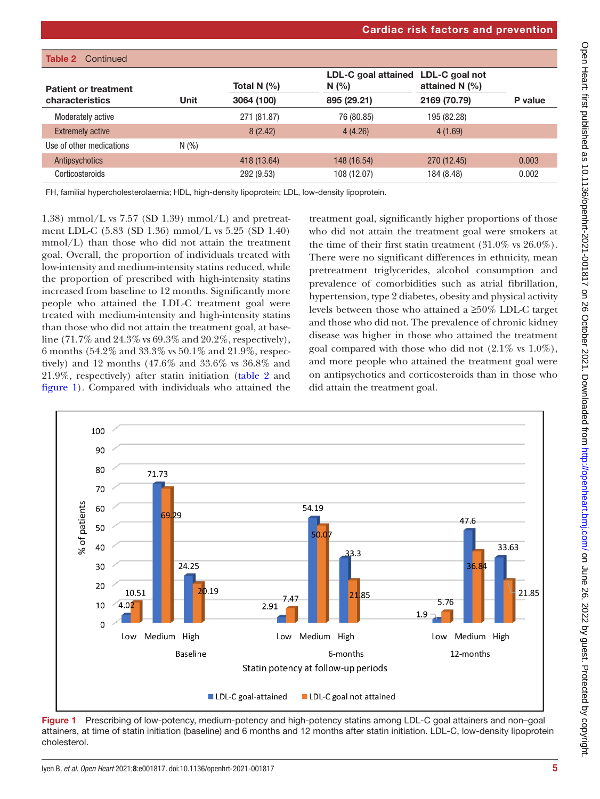|                             |             |               | <b>Cardiac risk factors and prevention</b> |                                    |         |
|-----------------------------|-------------|---------------|--------------------------------------------|------------------------------------|---------|
|                             |             |               |                                            |                                    |         |
| <b>Table 2</b> Continued    |             |               |                                            |                                    |         |
| <b>Patient or treatment</b> |             | Total N $(%)$ | LDL-C goal attained<br>N(%)                | LDL-C goal not<br>attained N $(%)$ |         |
| characteristics             | <b>Unit</b> | 3064 (100)    | 895 (29.21)                                | 2169 (70.79)                       | P value |
| Moderately active           |             | 271 (81.87)   | 76 (80.85)                                 | 195 (82.28)                        |         |
| <b>Extremely active</b>     |             | 8(2.42)       | 4(4.26)                                    | 4(1.69)                            |         |
| Use of other medications    | N(%)        |               |                                            |                                    |         |
| Antipsychotics              |             | 418 (13.64)   | 148 (16.54)                                | 270 (12.45)                        | 0.003   |
| Corticosteroids             |             | 292 (9.53)    | 108 (12.07)                                | 184 (8.48)                         | 0.002   |

FH, familial hypercholesterolaemia; HDL, high-density lipoprotein; LDL, low-density lipoprotein.

1.38) mmol/L vs  $7.57$  (SD 1.39) mmol/L) and pretreatment LDL-C (5.83 (SD 1.36) mmol/L vs 5.25 (SD 1.40) mmol/L) than those who did not attain the treatment goal. Overall, the proportion of individuals treated with low-intensity and medium-intensity statins reduced, while the proportion of prescribed with high-intensity statins increased from baseline to 12 months. Significantly more people who attained the LDL-C treatment goal were treated with medium-intensity and high-intensity statins than those who did not attain the treatment goal, at baseline (71.7% and 24.3% vs 69.3% and 20.2%, respectively), 6 months (54.2% and 33.3% vs 50.1% and 21.9%, respectively) and 12 months (47.6% and 33.6% vs 36.8% and 21.9%, respectively) after statin initiation [\(table](#page-3-0) 2 and [figure](#page-4-0) 1). Compared with individuals who attained the

treatment goal, significantly higher proportions of those who did not attain the treatment goal were smokers at the time of their first statin treatment (31.0% vs 26.0%). There were no significant differences in ethnicity, mean pretreatment triglycerides, alcohol consumption and prevalence of comorbidities such as atrial fibrillation, hypertension, type 2 diabetes, obesity and physical activity levels between those who attained a ≥50% LDL-C target and those who did not. The prevalence of chronic kidney disease was higher in those who attained the treatment goal compared with those who did not  $(2.1\% \text{ vs } 1.0\%),$ and more people who attained the treatment goal were on antipsychotics and corticosteroids than in those who did attain the treatment goal.



<span id="page-4-0"></span>Figure 1 Prescribing of low-potency, medium-potency and high-potency statins among LDL-C goal attainers and non-goal attainers, at time of statin initiation (baseline) and 6 months and 12 months after statin initiation. LDL-C, low-density lipoprotein cholesterol.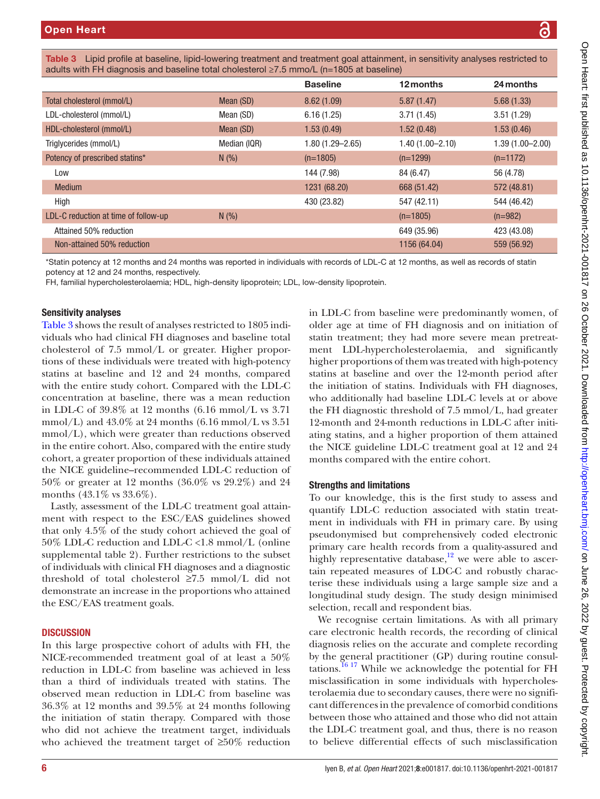<span id="page-5-0"></span>

| Table 3 Lipid profile at baseline, lipid-lowering treatment and treatment goal attainment, in sensitivity analyses restricted to |  |
|----------------------------------------------------------------------------------------------------------------------------------|--|
| adults with FH diagnosis and baseline total cholesterol $\geq 7.5$ mmo/L (n=1805 at baseline)                                    |  |

|                                      |              | <b>Baseline</b>     | 12 months           | 24 months           |
|--------------------------------------|--------------|---------------------|---------------------|---------------------|
| Total cholesterol (mmol/L)           | Mean (SD)    | 8.62(1.09)          | 5.87(1.47)          | 5.68(1.33)          |
| LDL-cholesterol (mmol/L)             | Mean (SD)    | 6.16(1.25)          | 3.71(1.45)          | 3.51(1.29)          |
| HDL-cholesterol (mmol/L)             | Mean (SD)    | 1.53(0.49)          | 1.52(0.48)          | 1.53(0.46)          |
| Triglycerides (mmol/L)               | Median (IQR) | $1.80(1.29 - 2.65)$ | $1.40(1.00 - 2.10)$ | $1.39(1.00 - 2.00)$ |
| Potency of prescribed statins*       | N(%)         | $(n=1805)$          | $(n=1299)$          | $(n=1172)$          |
| Low                                  |              | 144 (7.98)          | 84 (6.47)           | 56 (4.78)           |
| <b>Medium</b>                        |              | 1231 (68.20)        | 668 (51.42)         | 572 (48.81)         |
| High                                 |              | 430 (23.82)         | 547 (42.11)         | 544 (46.42)         |
| LDL-C reduction at time of follow-up | N(%)         |                     | $(n=1805)$          | $(n=982)$           |
| Attained 50% reduction               |              |                     | 649 (35.96)         | 423 (43.08)         |
| Non-attained 50% reduction           |              |                     | 1156 (64.04)        | 559 (56.92)         |
|                                      |              |                     |                     |                     |

\*Statin potency at 12 months and 24 months was reported in individuals with records of LDL-C at 12 months, as well as records of statin potency at 12 and 24 months, respectively.

FH, familial hypercholesterolaemia; HDL, high-density lipoprotein; LDL, low-density lipoprotein.

## Sensitivity analyses

[Table](#page-5-0) 3 shows the result of analyses restricted to 1805 individuals who had clinical FH diagnoses and baseline total cholesterol of 7.5 mmol/L or greater. Higher proportions of these individuals were treated with high-potency statins at baseline and 12 and 24 months, compared with the entire study cohort. Compared with the LDL-C concentration at baseline, there was a mean reduction in LDL-C of 39.8% at 12 months (6.16 mmol/L vs 3.71 mmol/L) and  $43.0\%$  at 24 months (6.16 mmol/L vs  $3.51$ mmol/L), which were greater than reductions observed in the entire cohort. Also, compared with the entire study cohort, a greater proportion of these individuals attained the NICE guideline–recommended LDL-C reduction of 50% or greater at 12 months (36.0% vs 29.2%) and 24 months (43.1\% vs 33.6\%).

Lastly, assessment of the LDL-C treatment goal attainment with respect to the ESC/EAS guidelines showed that only 4.5% of the study cohort achieved the goal of 50% LDL-C reduction and LDL-C <1.8 mmol/L [\(online](https://dx.doi.org/10.1136/openhrt-2021-001817) [supplemental table 2\)](https://dx.doi.org/10.1136/openhrt-2021-001817). Further restrictions to the subset of individuals with clinical FH diagnoses and a diagnostic threshold of total cholesterol ≥7.5 mmol/L did not demonstrate an increase in the proportions who attained the ESC/EAS treatment goals.

# **DISCUSSION**

In this large prospective cohort of adults with FH, the NICE-recommended treatment goal of at least a 50% reduction in LDL-C from baseline was achieved in less than a third of individuals treated with statins. The observed mean reduction in LDL-C from baseline was 36.3% at 12 months and 39.5% at 24 months following the initiation of statin therapy. Compared with those who did not achieve the treatment target, individuals who achieved the treatment target of ≥50% reduction

in LDL-C from baseline were predominantly women, of older age at time of FH diagnosis and on initiation of statin treatment; they had more severe mean pretreatment LDL-hypercholesterolaemia, and significantly higher proportions of them was treated with high-potency statins at baseline and over the 12-month period after the initiation of statins. Individuals with FH diagnoses, who additionally had baseline LDL-C levels at or above the FH diagnostic threshold of 7.5 mmol/L, had greater 12-month and 24-month reductions in LDL-C after initiating statins, and a higher proportion of them attained the NICE guideline LDL-C treatment goal at 12 and 24 months compared with the entire cohort.

## Strengths and limitations

To our knowledge, this is the first study to assess and quantify LDL-C reduction associated with statin treatment in individuals with FH in primary care. By using pseudonymised but comprehensively coded electronic primary care health records from a quality-assured and highly representative database, $12$  we were able to ascertain repeated measures of LDC-C and robustly characterise these individuals using a large sample size and a longitudinal study design. The study design minimised selection, recall and respondent bias.

We recognise certain limitations. As with all primary care electronic health records, the recording of clinical diagnosis relies on the accurate and complete recording by the general practitioner (GP) during routine consultations.<sup>16 17</sup> While we acknowledge the potential for FH misclassification in some individuals with hypercholesterolaemia due to secondary causes, there were no significant differences in the prevalence of comorbid conditions between those who attained and those who did not attain the LDL-C treatment goal, and thus, there is no reason to believe differential effects of such misclassification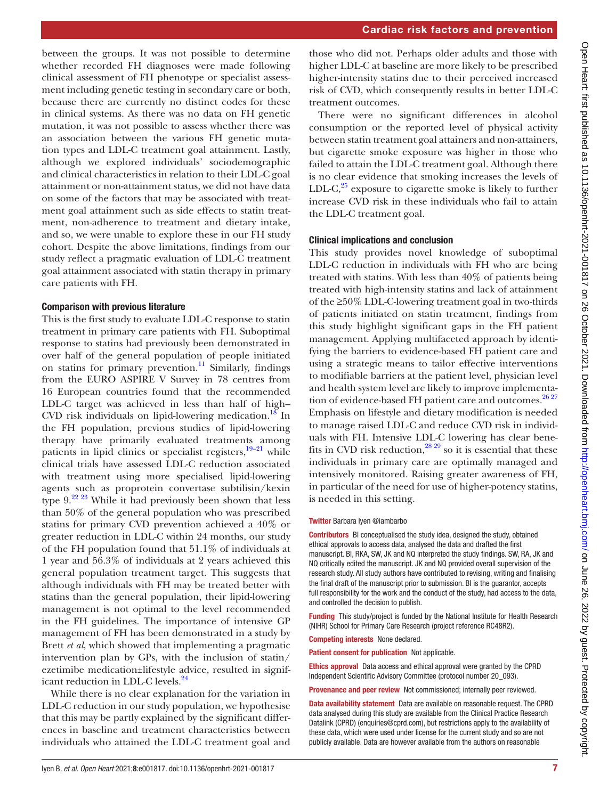Cardiac risk factors and prevention

between the groups. It was not possible to determine whether recorded FH diagnoses were made following clinical assessment of FH phenotype or specialist assessment including genetic testing in secondary care or both, because there are currently no distinct codes for these in clinical systems. As there was no data on FH genetic mutation, it was not possible to assess whether there was an association between the various FH genetic mutation types and LDL-C treatment goal attainment. Lastly, although we explored individuals' sociodemographic and clinical characteristics in relation to their LDL-C goal attainment or non-attainment status, we did not have data on some of the factors that may be associated with treatment goal attainment such as side effects to statin treatment, non-adherence to treatment and dietary intake, and so, we were unable to explore these in our FH study cohort. Despite the above limitations, findings from our study reflect a pragmatic evaluation of LDL-C treatment goal attainment associated with statin therapy in primary care patients with FH.

#### Comparison with previous literature

This is the first study to evaluate LDL-C response to statin treatment in primary care patients with FH. Suboptimal response to statins had previously been demonstrated in over half of the general population of people initiated on statins for primary prevention.<sup>11</sup> Similarly, findings from the EURO ASPIRE V Survey in 78 centres from 16 European countries found that the recommended LDL-C target was achieved in less than half of high– CVD risk individuals on lipid-lowering medication.<sup>18</sup> In the FH population, previous studies of lipid-lowering therapy have primarily evaluated treatments among patients in lipid clinics or specialist registers, $\frac{19-21}{2}$  while clinical trials have assessed LDL-C reduction associated with treatment using more specialised lipid-lowering agents such as proprotein convertase subtilisin/kexin type  $9.^{22\,23}$  While it had previously been shown that less than 50% of the general population who was prescribed statins for primary CVD prevention achieved a 40% or greater reduction in LDL-C within 24 months, our study of the FH population found that 51.1% of individuals at 1 year and 56.3% of individuals at 2 years achieved this general population treatment target. This suggests that although individuals with FH may be treated better with statins than the general population, their lipid-lowering management is not optimal to the level recommended in the FH guidelines. The importance of intensive GP management of FH has been demonstrated in a study by Brett *et al*, which showed that implementing a pragmatic intervention plan by GPs, with the inclusion of statin/ ezetimibe medication±lifestyle advice, resulted in signif-icant reduction in LDL-C levels.<sup>[24](#page-7-18)</sup>

While there is no clear explanation for the variation in LDL-C reduction in our study population, we hypothesise that this may be partly explained by the significant differences in baseline and treatment characteristics between individuals who attained the LDL-C treatment goal and

those who did not. Perhaps older adults and those with higher LDL-C at baseline are more likely to be prescribed higher-intensity statins due to their perceived increased risk of CVD, which consequently results in better LDL-C treatment outcomes.

There were no significant differences in alcohol consumption or the reported level of physical activity between statin treatment goal attainers and non-attainers, but cigarette smoke exposure was higher in those who failed to attain the LDL-C treatment goal. Although there is no clear evidence that smoking increases the levels of LDL-C, $^{25}$  $^{25}$  $^{25}$  exposure to cigarette smoke is likely to further increase CVD risk in these individuals who fail to attain the LDL-C treatment goal.

## Clinical implications and conclusion

This study provides novel knowledge of suboptimal LDL-C reduction in individuals with FH who are being treated with statins. With less than 40% of patients being treated with high-intensity statins and lack of attainment of the ≥50% LDL-C-lowering treatment goal in two-thirds of patients initiated on statin treatment, findings from this study highlight significant gaps in the FH patient management. Applying multifaceted approach by identifying the barriers to evidence-based FH patient care and using a strategic means to tailor effective interventions to modifiable barriers at the patient level, physician level and health system level are likely to improve implementa-tion of evidence-based FH patient care and outcomes.<sup>[26 27](#page-7-20)</sup> Emphasis on lifestyle and dietary modification is needed to manage raised LDL-C and reduce CVD risk in individuals with FH. Intensive LDL-C lowering has clear benefits in CVD risk reduction,  $28\frac{29}{29}$  so it is essential that these individuals in primary care are optimally managed and intensively monitored. Raising greater awareness of FH, in particular of the need for use of higher-potency statins, is needed in this setting.

#### Twitter Barbara Iyen [@iambarbo](https://twitter.com/iambarbo)

Contributors BI conceptualised the study idea, designed the study, obtained ethical approvals to access data, analysed the data and drafted the first manuscript. BI, RKA, SW, JK and NQ interpreted the study findings. SW, RA, JK and NQ critically edited the manuscript. JK and NQ provided overall supervision of the research study. All study authors have contributed to revising, writing and finalising the final draft of the manuscript prior to submission. BI is the guarantor, accepts full responsibility for the work and the conduct of the study, had access to the data, and controlled the decision to publish.

**Funding** This study/project is funded by the National Institute for Health Research (NIHR) School for Primary Care Research (project reference RC48R2).

Competing interests None declared.

Patient consent for publication Not applicable.

Ethics approval Data access and ethical approval were granted by the CPRD Independent Scientific Advisory Committee (protocol number 20\_093).

Provenance and peer review Not commissioned; internally peer reviewed.

Data availability statement Data are available on reasonable request. The CPRD data analysed during this study are available from the Clinical Practice Research Datalink (CPRD) (enquiries@cprd.com), but restrictions apply to the availability of these data, which were used under license for the current study and so are not publicly available. Data are however available from the authors on reasonable